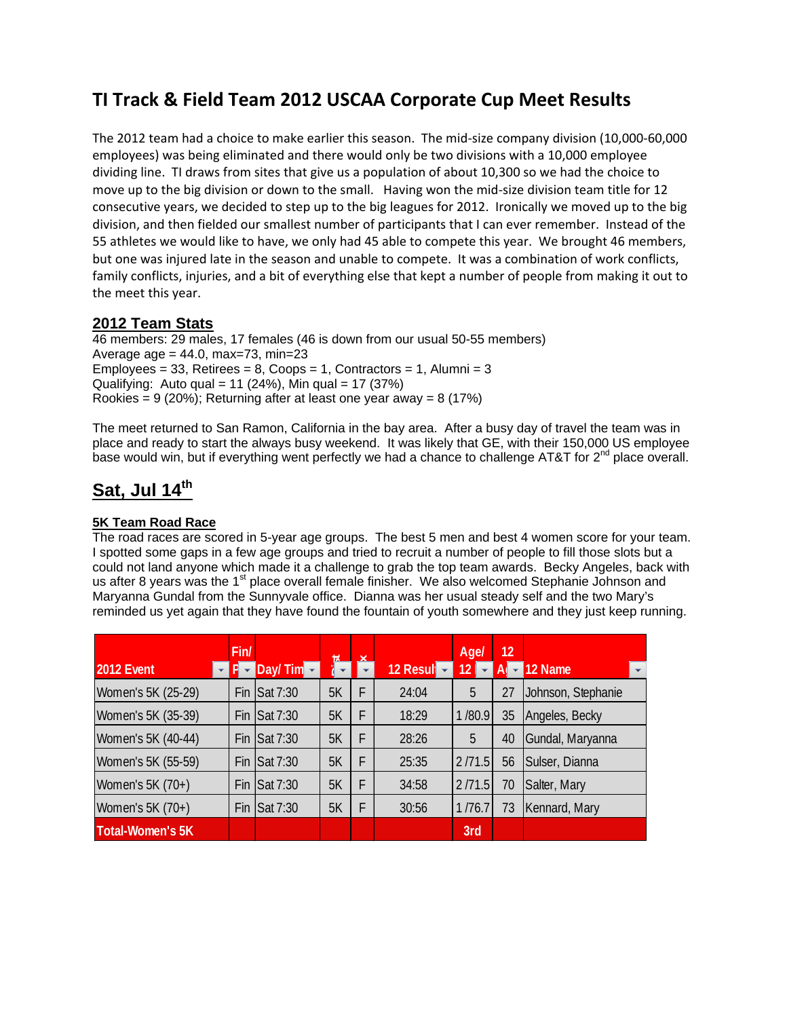# **TI Track & Field Team 2012 USCAA Corporate Cup Meet Results**

The 2012 team had a choice to make earlier this season. The mid‐size company division (10,000‐60,000 employees) was being eliminated and there would only be two divisions with a 10,000 employee dividing line. TI draws from sites that give us a population of about 10,300 so we had the choice to move up to the big division or down to the small. Having won the mid-size division team title for 12 consecutive years, we decided to step up to the big leagues for 2012. Ironically we moved up to the big division, and then fielded our smallest number of participants that I can ever remember. Instead of the 55 athletes we would like to have, we only had 45 able to compete this year. We brought 46 members, but one was injured late in the season and unable to compete. It was a combination of work conflicts, family conflicts, injuries, and a bit of everything else that kept a number of people from making it out to the meet this year.

## **2012 Team Stats**

46 members: 29 males, 17 females (46 is down from our usual 50-55 members) Average age =  $44.0$ , max=73, min=23 Employees =  $33$ , Retirees =  $8$ , Coops =  $1$ , Contractors =  $1$ , Alumni =  $3$ Qualifying: Auto qual = 11 (24%), Min qual = 17 (37%) Rookies = 9 (20%); Returning after at least one year away = 8 (17%)

The meet returned to San Ramon, California in the bay area. After a busy day of travel the team was in place and ready to start the always busy weekend. It was likely that GE, with their 150,000 US employee base would win, but if everything went perfectly we had a chance to challenge AT&T for  $2^{nd}$  place overall.

# **Sat, Jul 14th**

## **5K Team Road Race**

The road races are scored in 5-year age groups. The best 5 men and best 4 women score for your team. I spotted some gaps in a few age groups and tried to recruit a number of people to fill those slots but a could not land anyone which made it a challenge to grab the top team awards. Becky Angeles, back with us after 8 years was the 1<sup>st</sup> place overall female finisher. We also welcomed Stephanie Johnson and Maryanna Gundal from the Sunnyvale office. Dianna was her usual steady self and the two Mary's reminded us yet again that they have found the fountain of youth somewhere and they just keep running.

|                    | Fin/ |                     |         | ᆇ |             | Agel            | 12 |                    |  |
|--------------------|------|---------------------|---------|---|-------------|-----------------|----|--------------------|--|
| 2012 Event         |      | Day/Tim $\sim$      | ir<br>i |   | 12 Result - | $\overline{12}$ |    | 12 Name            |  |
| Women's 5K (25-29) | Fin  | Sat 7:30            | 5K      | F | 24:04       | 5               | 27 | Johnson, Stephanie |  |
| Women's 5K (35-39) | Fin  | $\textsf{Sat}7:30$  | 5K      | F | 18:29       | 1/80.9          | 35 | Angeles, Becky     |  |
| Women's 5K (40-44) |      | <b>Fin Sat 7:30</b> | 5K      | F | 28:26       | 5               | 40 | Gundal, Maryanna   |  |
| Women's 5K (55-59) |      | Fin Sat 7:30        | 5K      | F | 25:35       | 2/71.5          | 56 | Sulser, Dianna     |  |
| Women's 5K (70+)   | Fin  | Sat 7:30            | 5K      | F | 34:58       | 2/71.5          | 70 | Salter, Mary       |  |
| Women's 5K (70+)   | Fin  | Sat 7:30            | 5K      | F | 30:56       | 1/76.7          | 73 | Kennard, Mary      |  |
| Total-Women's 5K   |      |                     |         |   |             | 3rd             |    |                    |  |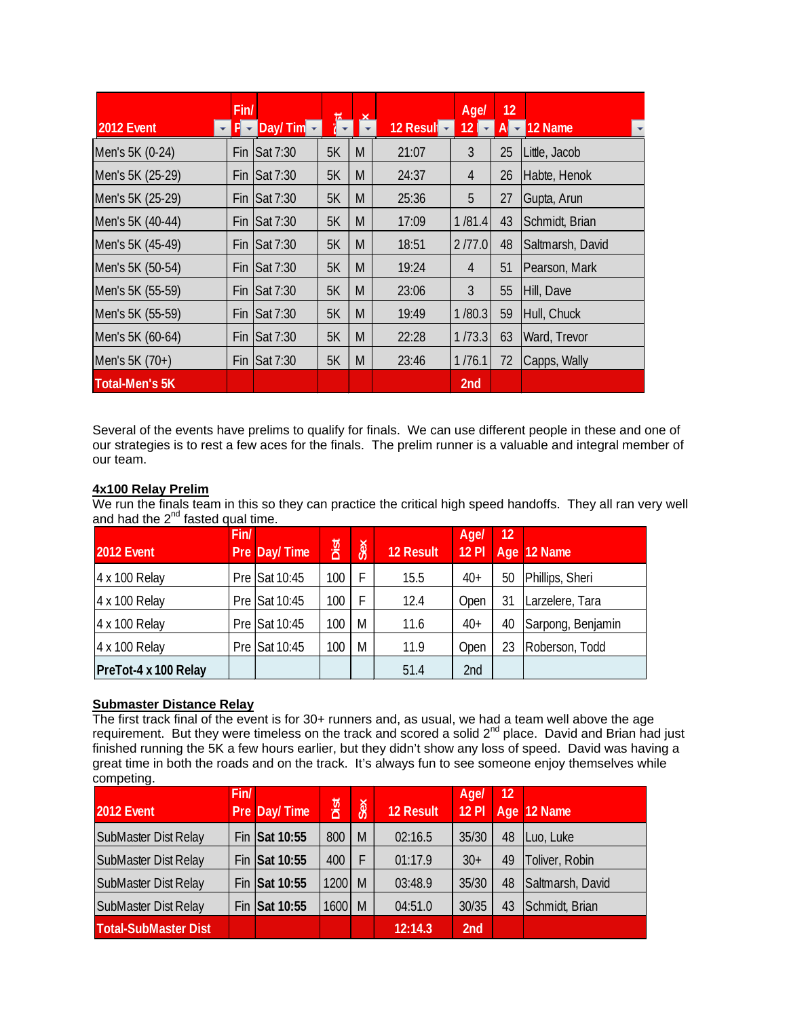|                       | Fin/ |                       |    |   |           | Agel            | 12    |                  |
|-----------------------|------|-----------------------|----|---|-----------|-----------------|-------|------------------|
| 2012 Event            |      | $P - Day / Tim -$     | 看  | ᆇ | 12 Result | 12 <sub>1</sub> | $A -$ | 12 Name          |
| Men's 5K (0-24)       | Fin  | Sat 7:30              | 5K | M | 21:07     | 3               | 25    | Little, Jacob    |
| Men's 5K (25-29)      | Fin  | Sat 7:30              | 5K | M | 24:37     | $\overline{4}$  | 26    | Habte, Henok     |
| Men's 5K (25-29)      | Fin  | Sat 7:30              | 5K | M | 25:36     | 5               | 27    | Gupta, Arun      |
| Men's 5K (40-44)      | Fin  | <b>Sat 7:30</b>       | 5K | M | 17:09     | 1/81.4          | 43    | Schmidt, Brian   |
| Men's 5K (45-49)      | Fin  | Sat 7:30              | 5K | M | 18:51     | 2/77.0          | 48    | Saltmarsh, David |
| Men's 5K (50-54)      | Fin  | Sat 7:30              | 5K | M | 19:24     | $\overline{4}$  | 51    | Pearson, Mark    |
| Men's 5K (55-59)      | Fin  | Sat 7:30              | 5K | M | 23:06     | 3               | 55    | Hill, Dave       |
| Men's 5K (55-59)      | Fin  | Sat 7:30              | 5K | M | 19:49     | 1/80.3          | 59    | Hull, Chuck      |
| Men's 5K (60-64)      | Fin  | $\textsf{Isat } 7:30$ | 5K | M | 22:28     | 1/73.3          | 63    | Ward, Trevor     |
| Men's 5K (70+)        | Fin  | Sat 7:30              | 5K | M | 23:46     | 1/76.1          | 72    | Capps, Wally     |
| <b>Total-Men's 5K</b> |      |                       |    |   |           | 2 <sub>nd</sub> |       |                  |

Several of the events have prelims to qualify for finals. We can use different people in these and one of our strategies is to rest a few aces for the finals. The prelim runner is a valuable and integral member of our team.

#### **4x100 Relay Prelim**

We run the finals team in this so they can practice the critical high speed handoffs. They all ran very well and had the  $2^{nd}$  fasted qual time.

| 2012 Event           | Fin/ | Pre Day/Time  | Dist | Sex | <b>12 Result</b> | Agel<br>$12$ Pl | 12 | Age 12 Name       |
|----------------------|------|---------------|------|-----|------------------|-----------------|----|-------------------|
| 4 x 100 Relay        |      | Pre Sat 10:45 | 100  | F   | 15.5             | $40+$           | 50 | Phillips, Sheri   |
| 4 x 100 Relay        |      | Pre Sat 10:45 | 100  | F   | 12.4             | Open            | 31 | Larzelere, Tara   |
| 4 x 100 Relay        |      | Pre Sat 10:45 | 100  | M   | 11.6             | $40+$           | 40 | Sarpong, Benjamin |
| 4 x 100 Relay        |      | Pre Sat 10:45 | 100  | M   | 11.9             | Open            | 23 | Roberson, Todd    |
| PreTot-4 x 100 Relay |      |               |      |     | 51.4             | 2nd             |    |                   |

#### **Submaster Distance Relay**

The first track final of the event is for 30+ runners and, as usual, we had a team well above the age requirement. But they were timeless on the track and scored a solid 2<sup>nd</sup> place. David and Brian had just finished running the 5K a few hours earlier, but they didn't show any loss of speed. David was having a great time in both the roads and on the track. It's always fun to see someone enjoy themselves while competing.

|                             | Fin/ |               |      |     |                  | Agel    | 12 |                  |
|-----------------------------|------|---------------|------|-----|------------------|---------|----|------------------|
| 2012 Event                  |      | Pre Day/Time  | Dist | Sex | <b>12 Result</b> | $12$ Pl |    | Age 12 Name      |
| <b>SubMaster Dist Relay</b> |      | Fin Sat 10:55 | 800  | M   | 02:16.5          | 35/30   | 48 | Luo, Luke        |
| SubMaster Dist Relay        |      | Fin Sat 10:55 | 400  | F   | 01:17.9          | $30+$   | 49 | Toliver, Robin   |
| <b>SubMaster Dist Relay</b> |      | Fin Sat 10:55 | 1200 | M   | 03:48.9          | 35/30   | 48 | Saltmarsh, David |
| SubMaster Dist Relay        |      | Fin Sat 10:55 | 1600 | M   | 04:51.0          | 30/35   | 43 | Schmidt, Brian   |
| <b>Total-SubMaster Dist</b> |      |               |      |     | 12:14.3          | 2nd     |    |                  |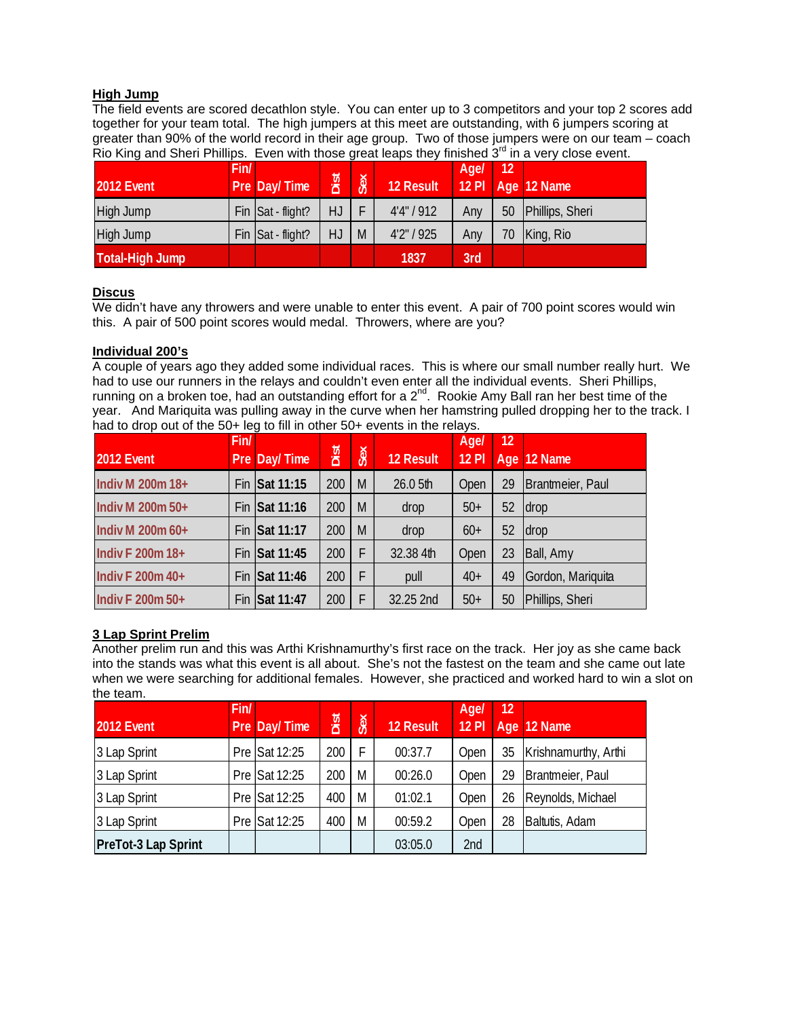#### **High Jump**

The field events are scored decathlon style. You can enter up to 3 competitors and your top 2 scores add together for your team total. The high jumpers at this meet are outstanding, with 6 jumpers scoring at greater than 90% of the world record in their age group. Two of those jumpers were on our team – coach Rio King and Sheri Phillips. Even with those great leaps they finished  $3<sup>rd</sup>$  in a very close event.

| <b>2012 Event</b>      | Fin/ | Pre Day/Time      | Dist | Sex | 12 Result | Age/ | 12 | 12 PI Age 12 Name |
|------------------------|------|-------------------|------|-----|-----------|------|----|-------------------|
| High Jump              |      | Fin Sat - flight? | HJ.  |     | 4'4''/912 | Any  | 50 | Phillips, Sheri   |
| High Jump              |      | Fin Sat - flight? | HJ   | M   | 4'2''/925 | Any  | 70 | King, Rio         |
| <b>Total-High Jump</b> |      |                   |      |     | 1837      | 3rd  |    |                   |

#### **Discus**

We didn't have any throwers and were unable to enter this event. A pair of 700 point scores would win this. A pair of 500 point scores would medal. Throwers, where are you?

#### **Individual 200's**

A couple of years ago they added some individual races. This is where our small number really hurt. We had to use our runners in the relays and couldn't even enter all the individual events. Sheri Phillips, running on a broken toe, had an outstanding effort for a  $2^{nd}$ . Rookie Amy Ball ran her best time of the year. And Mariquita was pulling away in the curve when her hamstring pulled dropping her to the track. I had to drop out of the 50+ leg to fill in other 50+ events in the relays.

| 2012 Event       | Fin/ | Pre Day/Time  | Dist | Sex | <b>12 Result</b> | Agel<br><b>12 PI</b> | 12 | Age 12 Name       |
|------------------|------|---------------|------|-----|------------------|----------------------|----|-------------------|
| Indiv M 200m 18+ |      | Fin Sat 11:15 | 200  | M   | 26.0 5th         | Open                 | 29 | Brantmeier, Paul  |
| Indiv M 200m 50+ |      | Fin Sat 11:16 | 200  | M   | drop             | $50+$                | 52 | drop              |
| Indiv M 200m 60+ |      | Fin Sat 11:17 | 200  | M   | drop             | $60+$                | 52 | drop              |
| Indiv F 200m 18+ |      | Fin Sat 11:45 | 200  | F   | 32.38 4th        | Open                 | 23 | Ball, Amy         |
| Indiv F 200m 40+ |      | Fin Sat 11:46 | 200  | F   | pull             | $40+$                | 49 | Gordon, Mariquita |
| Indiv F 200m 50+ | Fin  | Sat 11:47     | 200  | F   | 32.25 2nd        | $50+$                | 50 | Phillips, Sheri   |

#### **3 Lap Sprint Prelim**

Another prelim run and this was Arthi Krishnamurthy's first race on the track. Her joy as she came back into the stands was what this event is all about. She's not the fastest on the team and she came out late when we were searching for additional females. However, she practiced and worked hard to win a slot on the team.

|                     | Fin/ |               |      |     |                  | Agel         | 12 |                      |
|---------------------|------|---------------|------|-----|------------------|--------------|----|----------------------|
| 2012 Event          |      | Pre Day/Time  | Dist | Sex | <b>12 Result</b> | <b>12 PI</b> |    | Age 12 Name          |
| 3 Lap Sprint        |      | Pre Sat 12:25 | 200  | F   | 00:37.7          | Open         | 35 | Krishnamurthy, Arthi |
| 3 Lap Sprint        |      | Pre Sat 12:25 | 200  | M   | 00:26.0          | Open         | 29 | Brantmeier, Paul     |
| 3 Lap Sprint        |      | Pre Sat 12:25 | 400  | M   | 01:02.1          | Open         | 26 | Reynolds, Michael    |
| 3 Lap Sprint        |      | Pre Sat 12:25 | 400  | M   | 00:59.2          | Open         | 28 | Baltutis, Adam       |
| PreTot-3 Lap Sprint |      |               |      |     | 03:05.0          | 2nd          |    |                      |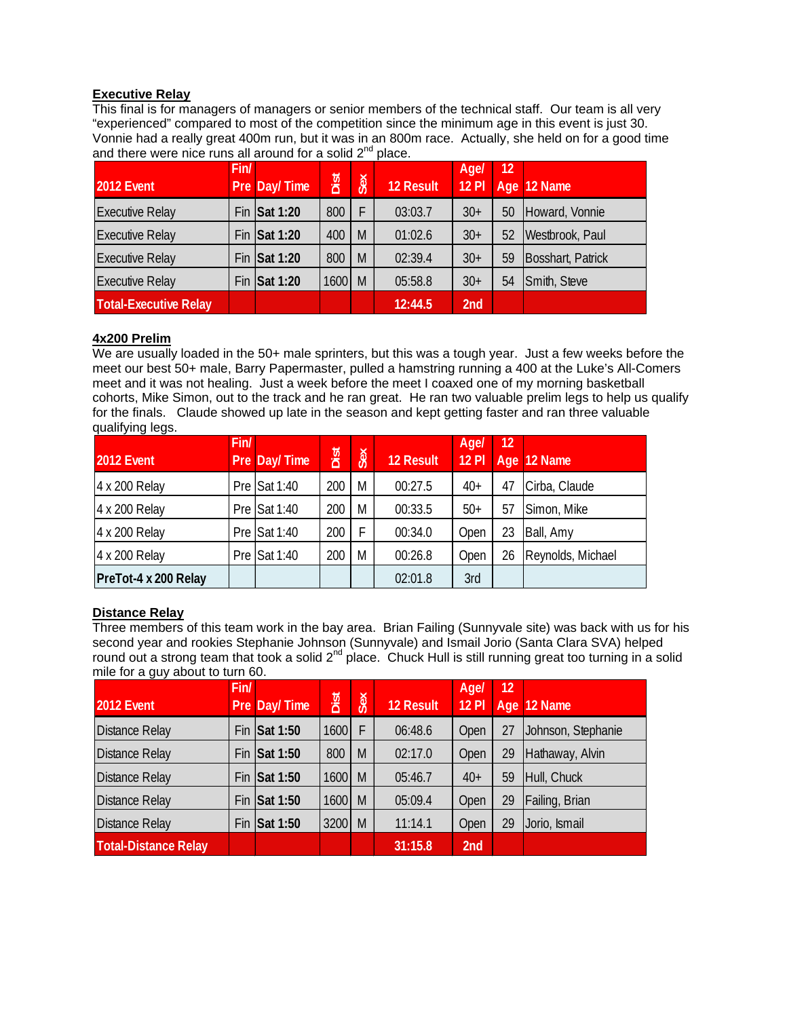#### **Executive Relay**

This final is for managers of managers or senior members of the technical staff. Our team is all very "experienced" compared to most of the competition since the minimum age in this event is just 30. Vonnie had a really great 400m run, but it was in an 800m race. Actually, she held on for a good time and there were nice runs all around for a solid  $2^{nd}$  place.

| 2012 Event                   | Fin/ | Pre Day/Time         | Dist | Sex | 12 Result | Agel<br>$12$ Pl | 12 | Age 12 Name       |
|------------------------------|------|----------------------|------|-----|-----------|-----------------|----|-------------------|
| <b>Executive Relay</b>       |      | Fin Sat 1:20         | 800  | F   | 03:03.7   | $30+$           | 50 | Howard, Vonnie    |
| <b>Executive Relay</b>       |      | Fin $\vert$ Sat 1:20 | 400  | M   | 01:02.6   | $30+$           | 52 | Westbrook, Paul   |
| <b>Executive Relay</b>       |      | Fin $\vert$ Sat 1:20 | 800  | M   | 02:39.4   | $30+$           | 59 | Bosshart, Patrick |
| <b>Executive Relay</b>       |      | Fin Sat 1:20         | 1600 | M   | 05:58.8   | $30+$           | 54 | Smith, Steve      |
| <b>Total-Executive Relay</b> |      |                      |      |     | 12:44.5   | 2nd             |    |                   |

#### **4x200 Prelim**

We are usually loaded in the 50+ male sprinters, but this was a tough year. Just a few weeks before the meet our best 50+ male, Barry Papermaster, pulled a hamstring running a 400 at the Luke's All-Comers meet and it was not healing. Just a week before the meet I coaxed one of my morning basketball cohorts, Mike Simon, out to the track and he ran great. He ran two valuable prelim legs to help us qualify for the finals. Claude showed up late in the season and kept getting faster and ran three valuable qualifying legs.

|                      | Fin/ |                |      |     |                  | Agel         | 12 |                   |
|----------------------|------|----------------|------|-----|------------------|--------------|----|-------------------|
| 2012 Event           |      | Pre Day/Time   | Dist | Sex | <b>12 Result</b> | <b>12 PI</b> |    | Age 12 Name       |
| 4 x 200 Relay        |      | Pre $Sat 1:40$ | 200  | M   | 00:27.5          | $40+$        | 47 | Cirba, Claude     |
| 4 x 200 Relay        |      | Pre $Sat 1:40$ | 200  | M   | 00:33.5          | $50+$        | 57 | Simon, Mike       |
| 4 x 200 Relay        |      | Pre Sat 1:40   | 200  | F   | 00:34.0          | Open         | 23 | Ball, Amy         |
| 4 x 200 Relay        |      | Pre $Sat 1:40$ | 200  | M   | 00:26.8          | Open         | 26 | Reynolds, Michael |
| PreTot-4 x 200 Relay |      |                |      |     | 02:01.8          | 3rd          |    |                   |

#### **Distance Relay**

Three members of this team work in the bay area. Brian Failing (Sunnyvale site) was back with us for his second year and rookies Stephanie Johnson (Sunnyvale) and Ismail Jorio (Santa Clara SVA) helped round out a strong team that took a solid  $2^{nd}$  place. Chuck Hull is still running great too turning in a solid mile for a guy about to turn 60.

| 2012 Event                  | Fin/ | Pre Day/Time    | Dist | Sex | 12 Result | Age/<br><b>12 PI</b> | 12 | Age 12 Name        |
|-----------------------------|------|-----------------|------|-----|-----------|----------------------|----|--------------------|
| <b>Distance Relay</b>       |      | Fin Sat 1:50    | 1600 | F   | 06:48.6   | Open                 | 27 | Johnson, Stephanie |
| <b>Distance Relay</b>       |      | Fin Sat 1:50    | 800  | M   | 02:17.0   | Open                 | 29 | Hathaway, Alvin    |
| <b>Distance Relay</b>       |      | Fin Sat 1:50    | 1600 | M   | 05:46.7   | $40+$                | 59 | Hull, Chuck        |
| <b>Distance Relay</b>       | Fin  | <b>Sat 1:50</b> | 1600 | M   | 05:09.4   | Open                 | 29 | Failing, Brian     |
| <b>Distance Relay</b>       | Fin  | Sat 1:50        | 3200 | M   | 11:14.1   | Open                 | 29 | Jorio, Ismail      |
| <b>Total-Distance Relay</b> |      |                 |      |     | 31:15.8   | 2nd                  |    |                    |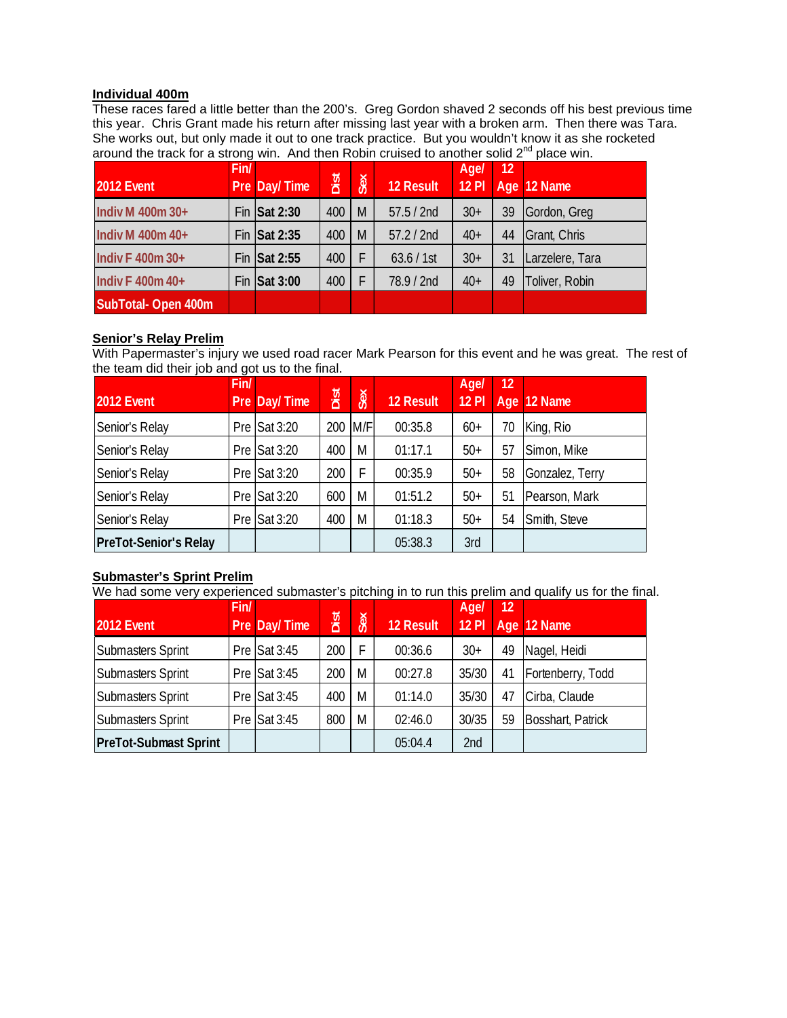#### **Individual 400m**

These races fared a little better than the 200's. Greg Gordon shaved 2 seconds off his best previous time this year. Chris Grant made his return after missing last year with a broken arm. Then there was Tara. She works out, but only made it out to one track practice. But you wouldn't know it as she rocketed around the track for a strong win. And then Robin cruised to another solid 2nd place win.

| 2012 Event         | Fin/ | Pre Day/Time         | Dist | Sex | <b>12 Result</b> | Age/<br>$12$ Pl | 12 | Age 12 Name     |
|--------------------|------|----------------------|------|-----|------------------|-----------------|----|-----------------|
| Indiv M 400m 30+   |      | Fin $\vert$ Sat 2:30 | 400  | M   | 57.5 / 2nd       | $30+$           | 39 | Gordon, Greg    |
| Indiv M 400m 40+   |      | Fin Sat 2:35         | 400  | M   | 57.2 / 2nd       | $40+$           | 44 | Grant, Chris    |
| Indiv F 400m 30+   |      | Fin Sat 2:55         | 400  | F   | 63.6 / 1st       | $30+$           | 31 | Larzelere, Tara |
| Indiv F 400m 40+   |      | Fin $\vert$ Sat 3:00 | 400  | F   | 78.9 / 2nd       | $40+$           | 49 | Toliver, Robin  |
| SubTotal-Open 400m |      |                      |      |     |                  |                 |    |                 |

#### **Senior's Relay Prelim**

With Papermaster's injury we used road racer Mark Pearson for this event and he was great. The rest of the team did their job and got us to the final.

| 2012 Event                   | Fin/ | Pre Day/Time           | Dist | Sex | <b>12 Result</b> | <b>Age/</b><br><b>12 PI</b> | 12 | Age 12 Name     |
|------------------------------|------|------------------------|------|-----|------------------|-----------------------------|----|-----------------|
| Senior's Relay               |      | Pre $Sat 3:20$         | 200  | M/F | 00:35.8          | $60+$                       | 70 | King, Rio       |
| Senior's Relay               |      | Pre $Sat 3:20$         | 400  | M   | 01:17.1          | $50+$                       | 57 | Simon, Mike     |
| Senior's Relay               |      | Pre $\textsf{Sat}3:20$ | 200  | Ė   | 00:35.9          | $50+$                       | 58 | Gonzalez, Terry |
| Senior's Relay               |      | Pre Sat 3:20           | 600  | M   | 01:51.2          | $50+$                       | 51 | Pearson, Mark   |
| Senior's Relay               |      | Pre $Sat 3:20$         | 400  | M   | 01:18.3          | $50+$                       | 54 | Smith, Steve    |
| <b>PreTot-Senior's Relay</b> |      |                        |      |     | 05:38.3          | 3rd                         |    |                 |

## **Submaster's Sprint Prelim**

We had some very experienced submaster's pitching in to run this prelim and qualify us for the final.

| 2012 Event                   | Fin/ | Pre Day/Time           | Dist | Sex | <b>12 Result</b> | Agel<br><b>12 PI</b> | 12 | Age 12 Name              |
|------------------------------|------|------------------------|------|-----|------------------|----------------------|----|--------------------------|
| Submasters Sprint            |      | Pre $\textsf{Sat}3:45$ | 200  | F   | 00:36.6          | $30+$                | 49 | Nagel, Heidi             |
| Submasters Sprint            |      | Pre $Sat 3:45$         | 200  | M   | 00:27.8          | 35/30                | 41 | Fortenberry, Todd        |
| Submasters Sprint            |      | Pre $\textsf{Sat}3:45$ | 400  | M   | 01:14.0          | 35/30                | 47 | Cirba, Claude            |
| Submasters Sprint            |      | Pre $Sat 3:45$         | 800  | M   | 02:46.0          | 30/35                | 59 | <b>Bosshart, Patrick</b> |
| <b>PreTot-Submast Sprint</b> |      |                        |      |     | 05:04.4          | 2nd                  |    |                          |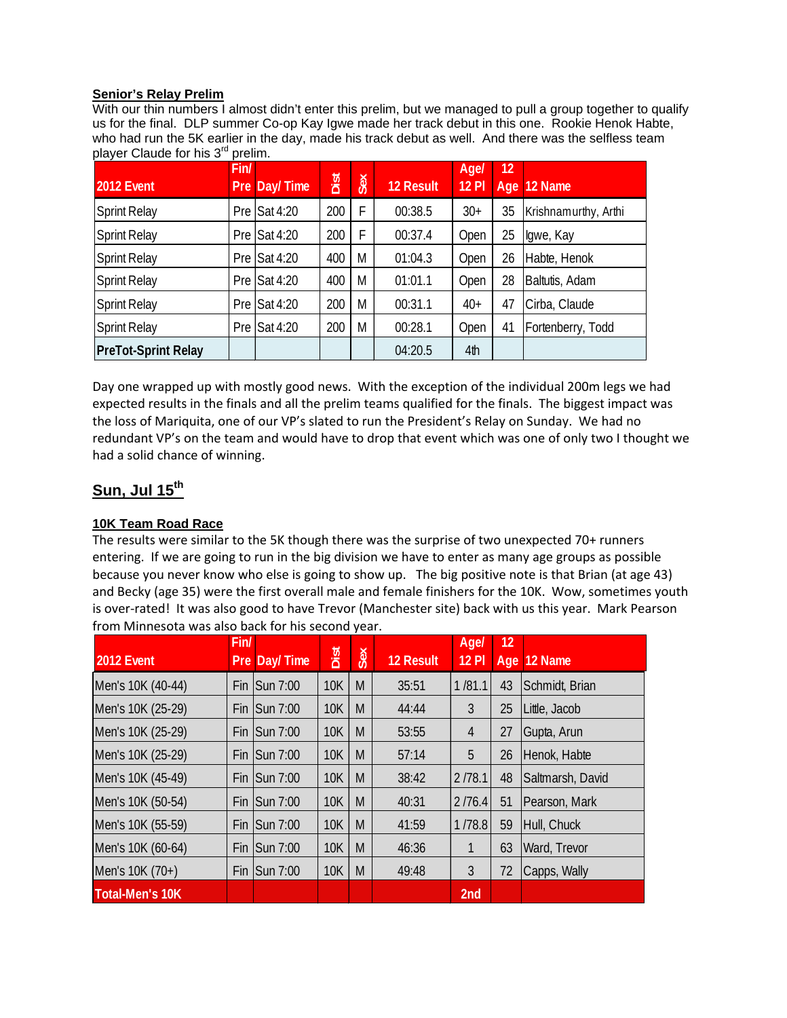#### **Senior's Relay Prelim**

With our thin numbers I almost didn't enter this prelim, but we managed to pull a group together to qualify us for the final. DLP summer Co-op Kay Igwe made her track debut in this one. Rookie Henok Habte, who had run the 5K earlier in the day, made his track debut as well. And there was the selfless team player Claude for his 3<sup>rd</sup> prelim.

| 2012 Event                 | Fin/<br>Pre | Day/Time               | Dist | Sex | <b>12 Result</b> | Agel<br><b>12 PI</b> | 12 | Age 12 Name          |
|----------------------------|-------------|------------------------|------|-----|------------------|----------------------|----|----------------------|
| <b>Sprint Relay</b>        |             | Pre Sat 4:20           | 200  | F   | 00:38.5          | $30+$                | 35 | Krishnamurthy, Arthi |
| <b>Sprint Relay</b>        |             | Pre $\textsf{Sat}4:20$ | 200  | F   | 00:37.4          | Open                 | 25 | Igwe, Kay            |
| <b>Sprint Relay</b>        |             | Pre Sat 4:20           | 400  | M   | 01:04.3          | Open                 | 26 | Habte, Henok         |
| <b>Sprint Relay</b>        |             | Pre Sat 4:20           | 400  | M   | 01:01.1          | Open                 | 28 | Baltutis, Adam       |
| <b>Sprint Relay</b>        |             | Pre Sat 4:20           | 200  | M   | 00:31.1          | $40+$                | 47 | Cirba, Claude        |
| <b>Sprint Relay</b>        |             | Pre Sat 4:20           | 200  | M   | 00:28.1          | Open                 | 41 | Fortenberry, Todd    |
| <b>PreTot-Sprint Relay</b> |             |                        |      |     | 04:20.5          | 4th                  |    |                      |

Day one wrapped up with mostly good news. With the exception of the individual 200m legs we had expected results in the finals and all the prelim teams qualified for the finals. The biggest impact was the loss of Mariquita, one of our VP's slated to run the President's Relay on Sunday. We had no redundant VP's on the team and would have to drop that event which was one of only two I thought we had a solid chance of winning.

## **Sun, Jul 15th**

#### **10K Team Road Race**

The results were similar to the 5K though there was the surprise of two unexpected 70+ runners entering. If we are going to run in the big division we have to enter as many age groups as possible because you never know who else is going to show up. The big positive note is that Brian (at age 43) and Becky (age 35) were the first overall male and female finishers for the 10K. Wow, sometimes youth is over-rated! It was also good to have Trevor (Manchester site) back with us this year. Mark Pearson from Minnesota was also back for his second year.

| 2012 Event             | Fin/ | Pre Day/Time            | Dist       | Sex | <b>12 Result</b> | Agel<br><b>12 PI</b> | 12 | Age 12 Name      |
|------------------------|------|-------------------------|------------|-----|------------------|----------------------|----|------------------|
| Men's 10K (40-44)      |      | Fin $\textsf{Sun}$ 7:00 | <b>10K</b> | M   | 35:51            | 1/81.1               | 43 | Schmidt, Brian   |
| Men's 10K (25-29)      | Fin  | Sun 7:00                | <b>10K</b> | M   | 44:44            | 3                    | 25 | Little, Jacob    |
| Men's 10K (25-29)      | Fin  | Sun 7:00                | <b>10K</b> | M   | 53:55            | 4                    | 27 | Gupta, Arun      |
| Men's 10K (25-29)      | Fin  | Sun 7:00                | <b>10K</b> | M   | 57:14            | 5                    | 26 | Henok, Habte     |
| Men's 10K (45-49)      |      | Fin $\textsf{Sun}$ 7:00 | <b>10K</b> | M   | 38:42            | 2/78.1               | 48 | Saltmarsh, David |
| Men's 10K (50-54)      | Fin  | Sun 7:00                | <b>10K</b> | M   | 40:31            | 2/76.4               | 51 | Pearson, Mark    |
| Men's 10K (55-59)      | Fin  | Sun 7:00                | <b>10K</b> | M   | 41:59            | 1/78.8               | 59 | Hull, Chuck      |
| Men's 10K (60-64)      | Fin  | Sun 7:00                | <b>10K</b> | M   | 46:36            | 1                    | 63 | Ward, Trevor     |
| Men's 10K (70+)        |      | Fin $\textsf{Sun}$ 7:00 | <b>10K</b> | M   | 49:48            | 3                    | 72 | Capps, Wally     |
| <b>Total-Men's 10K</b> |      |                         |            |     |                  | 2 <sub>nd</sub>      |    |                  |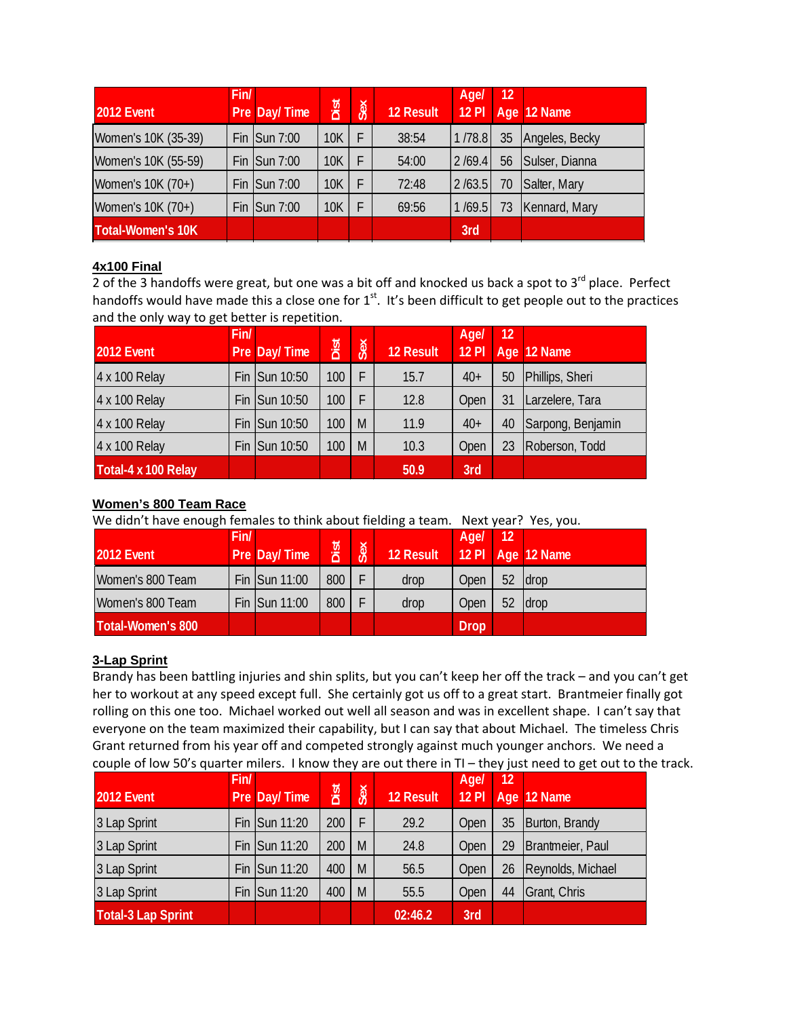| 2012 Event               | Fin/ | Pre Day/Time           | Dist       | Sex | <b>12 Result</b> | Agel<br><b>12 PI</b> | 12 | Age 12 Name    |
|--------------------------|------|------------------------|------------|-----|------------------|----------------------|----|----------------|
| Women's 10K (35-39)      |      | Fin $\text{Sun } 7:00$ | <b>10K</b> |     | 38:54            | 1/78.8               | 35 | Angeles, Becky |
| Women's 10K (55-59)      |      | Fin $\text{Sun } 7:00$ | <b>10K</b> |     | 54:00            | 2/69.4               | 56 | Sulser, Dianna |
| Women's 10K (70+)        |      | Fin $\text{Sun } 7:00$ | 10K        |     | 72:48            | 2/63.5               | 70 | Salter, Mary   |
| Women's 10K (70+)        |      | Fin $\text{Sun } 7:00$ | <b>10K</b> |     | 69:56            | 1/69.5               | 73 | Kennard, Mary  |
| <b>Total-Women's 10K</b> |      |                        |            |     |                  | 3rd                  |    |                |

## **4x100 Final**

2 of the 3 handoffs were great, but one was a bit off and knocked us back a spot to  $3^{rd}$  place. Perfect handoffs would have made this a close one for  $1<sup>st</sup>$ . It's been difficult to get people out to the practices and the only way to get better is repetition.

|                     | Fin/ |               |      |     |                  | Agel         | 12 |                   |
|---------------------|------|---------------|------|-----|------------------|--------------|----|-------------------|
| 2012 Event          |      | Pre Day/Time  | Dist | Sex | <b>12 Result</b> | <b>12 PI</b> |    | Age 12 Name       |
| 4 x 100 Relay       |      | Fin Sun 10:50 | 100  | F   | 15.7             | $40+$        | 50 | Phillips, Sheri   |
| 4 x 100 Relay       |      | Fin Sun 10:50 | 100  | F   | 12.8             | Open         | 31 | Larzelere, Tara   |
| 4 x 100 Relay       |      | Fin Sun 10:50 | 100  | M   | 11.9             | $40+$        | 40 | Sarpong, Benjamin |
| 4 x 100 Relay       |      | Fin Sun 10:50 | 100  | M   | 10.3             | Open         | 23 | Roberson, Todd    |
| Total-4 x 100 Relay |      |               |      |     | 50.9             | 3rd          |    |                   |

## **Women's 800 Team Race**

We didn't have enough females to think about fielding a team. Next year? Yes, you.

| <b>2012 Event</b> | Fin/ | Pre Day/Time  | Dist | Sex | 12 Result | Age/        | 12 | $12$ PI Age 12 Name |
|-------------------|------|---------------|------|-----|-----------|-------------|----|---------------------|
| Women's 800 Team  |      | Fin Sun 11:00 | 800  |     | drop      | Open        | 52 | <b>Idrop</b>        |
| Women's 800 Team  |      | Fin Sun 11:00 | 800  |     | drop      | Open        | 52 | <b>Idrop</b>        |
| Total-Women's 800 |      |               |      |     |           | <b>Drop</b> |    |                     |

## **3-Lap Sprint**

Brandy has been battling injuries and shin splits, but you can't keep her off the track – and you can't get her to workout at any speed except full. She certainly got us off to a great start. Brantmeier finally got rolling on this one too. Michael worked out well all season and was in excellent shape. I can't say that everyone on the team maximized their capability, but I can say that about Michael. The timeless Chris Grant returned from his year off and competed strongly against much younger anchors. We need a couple of low 50's quarter milers. I know they are out there in TI – they just need to get out to the track.

| 2012 Event                | Fin/ | Pre Day/Time  | Dist | Sex | 12 Result | Agel<br><b>12 PI</b> | 12 | Age 12 Name       |
|---------------------------|------|---------------|------|-----|-----------|----------------------|----|-------------------|
| 3 Lap Sprint              |      | Fin Sun 11:20 | 200  | F   | 29.2      | Open                 | 35 | Burton, Brandy    |
| 3 Lap Sprint              |      | Fin Sun 11:20 | 200  | M   | 24.8      | Open                 | 29 | Brantmeier, Paul  |
| 3 Lap Sprint              |      | Fin Sun 11:20 | 400  | M   | 56.5      | Open                 | 26 | Reynolds, Michael |
| 3 Lap Sprint              |      | Fin Sun 11:20 | 400  | M   | 55.5      | Open                 | 44 | Grant, Chris      |
| <b>Total-3 Lap Sprint</b> |      |               |      |     | 02:46.2   | 3rd                  |    |                   |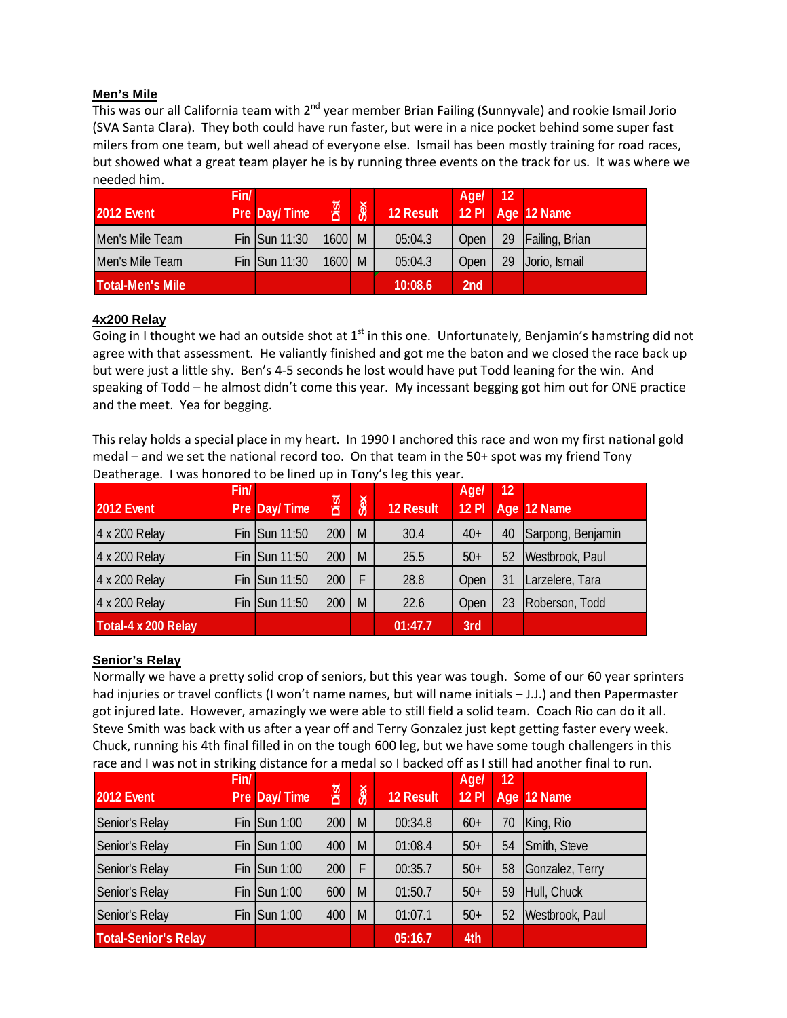#### **Men's Mile**

This was our all California team with 2<sup>nd</sup> year member Brian Failing (Sunnyvale) and rookie Ismail Jorio (SVA Santa Clara). They both could have run faster, but were in a nice pocket behind some super fast milers from one team, but well ahead of everyone else. Ismail has been mostly training for road races, but showed what a great team player he is by running three events on the track for us. It was where we needed him.

| <b>2012 Event</b>       | Fin/ | Pre Day/Time  | Dist     | Sex | <b>12 Result</b> | Age/            | 12 | $12$ PI Age 12 Name |
|-------------------------|------|---------------|----------|-----|------------------|-----------------|----|---------------------|
| Men's Mile Team         |      | Fin Sun 11:30 | $1600$ M |     | 05:04.3          | Open            | 29 | Failing, Brian      |
| Men's Mile Team         |      | Fin Sun 11:30 | $1600$ M |     | 05:04.3          | Open            | 29 | Jorio, Ismail       |
| <b>Total-Men's Mile</b> |      |               |          |     | 10:08.6          | 2 <sub>nd</sub> |    |                     |

#### **4x200 Relay**

Going in I thought we had an outside shot at  $1<sup>st</sup>$  in this one. Unfortunately, Benjamin's hamstring did not agree with that assessment. He valiantly finished and got me the baton and we closed the race back up but were just a little shy. Ben's 4‐5 seconds he lost would have put Todd leaning for the win. And speaking of Todd – he almost didn't come this year. My incessant begging got him out for ONE practice and the meet. Yea for begging.

This relay holds a special place in my heart. In 1990 I anchored this race and won my first national gold medal – and we set the national record too. On that team in the 50+ spot was my friend Tony Deatherage. I was honored to be lined up in Tony's leg this year.

| 2012 Event          | Fin/ | Pre Day/Time  | Dist | Sex | <b>12 Result</b> | Age/<br>12 PI | 12 | Age 12 Name       |
|---------------------|------|---------------|------|-----|------------------|---------------|----|-------------------|
| 4 x 200 Relay       |      | Fin Sun 11:50 | 200  | M   | 30.4             | $40+$         | 40 | Sarpong, Benjamin |
| 4 x 200 Relay       |      | Fin Sun 11:50 | 200  | M   | 25.5             | $50+$         | 52 | Westbrook, Paul   |
| 4 x 200 Relay       |      | Fin Sun 11:50 | 200  | F   | 28.8             | Open          | 31 | Larzelere, Tara   |
| 4 x 200 Relay       |      | Fin Sun 11:50 | 200  | M   | 22.6             | Open          | 23 | Roberson, Todd    |
| Total-4 x 200 Relay |      |               |      |     | 01:47.7          | 3rd           |    |                   |

## **Senior's Relay**

Normally we have a pretty solid crop of seniors, but this year was tough. Some of our 60 year sprinters had injuries or travel conflicts (I won't name names, but will name initials – J.J.) and then Papermaster got injured late. However, amazingly we were able to still field a solid team. Coach Rio can do it all. Steve Smith was back with us after a year off and Terry Gonzalez just kept getting faster every week. Chuck, running his 4th final filled in on the tough 600 leg, but we have some tough challengers in this race and I was not in striking distance for a medal so I backed off as I still had another final to run.

| 2012 Event                  | Fin/ | Pre Day/Time              | Dist | Sex | <b>12 Result</b> | Agel<br><b>12 PI</b> | 12 | Age 12 Name     |
|-----------------------------|------|---------------------------|------|-----|------------------|----------------------|----|-----------------|
| Senior's Relay              |      | Fin $\textsf{I}$ Sun 1:00 | 200  | M   | 00:34.8          | $60+$                | 70 | King, Rio       |
| Senior's Relay              |      | Fin $\textsf{I}$ Sun 1:00 | 400  | M   | 01:08.4          | $50+$                | 54 | Smith, Steve    |
| Senior's Relay              |      | Fin $\textsf{I}$ Sun 1:00 | 200  | F   | 00:35.7          | $50+$                | 58 | Gonzalez, Terry |
| Senior's Relay              |      | Fin $\textsf{I}$ Sun 1:00 | 600  | M   | 01:50.7          | $50+$                | 59 | Hull, Chuck     |
| Senior's Relay              |      | Fin $\textsf{Sun} 1:00$   | 400  | M   | 01:07.1          | $50+$                | 52 | Westbrook, Paul |
| <b>Total-Senior's Relay</b> |      |                           |      |     | 05:16.7          | 4th                  |    |                 |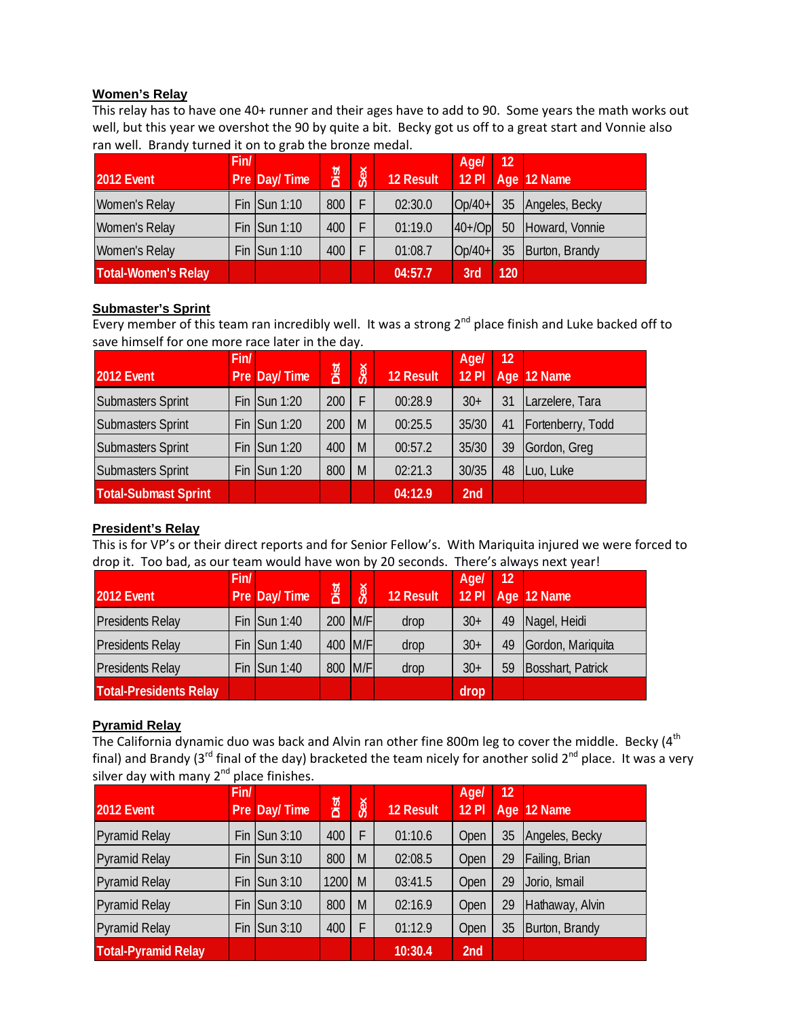#### **Women's Relay**

This relay has to have one 40+ runner and their ages have to add to 90. Some years the math works out well, but this year we overshot the 90 by quite a bit. Becky got us off to a great start and Vonnie also ran well. Brandy turned it on to grab the bronze medal.

|                            | Fin/ |                         |      |     |                  | Agel     | l 12 |                |
|----------------------------|------|-------------------------|------|-----|------------------|----------|------|----------------|
| <b>2012 Event</b>          |      | Pre Day/Time            | Dist | Sex | <b>12 Result</b> | $12$ Pl  |      | Age 12 Name    |
| Women's Relay              |      | Fin $\textsf{Sun} 1:10$ | 800  |     | 02:30.0          | $Op/40+$ | 35   | Angeles, Becky |
| Women's Relay              |      | Fin $\textsf{Sum 1:10}$ | 400  |     | 01:19.0          | $40+10p$ | 50   | Howard, Vonnie |
| Women's Relay              |      | Fin $\textsf{Sum 1:10}$ | 400  |     | 01:08.7          | $Op/40+$ | 35   | Burton, Brandy |
| <b>Total-Women's Relay</b> |      |                         |      |     | 04:57.7          | 3rd      | 120  |                |

#### **Submaster's Sprint**

Every member of this team ran incredibly well. It was a strong  $2^{nd}$  place finish and Luke backed off to save himself for one more race later in the day.

|                             | Fin/ |                         |      |     |                  | <b>Age/</b>  | 12 |                   |
|-----------------------------|------|-------------------------|------|-----|------------------|--------------|----|-------------------|
| 2012 Event                  |      | Pre Day/Time            | Dist | Sex | <b>12 Result</b> | <b>12 PI</b> |    | Age 12 Name       |
| <b>Submasters Sprint</b>    |      | Fin $\textsf{Sun} 1:20$ | 200  | F   | 00:28.9          | $30+$        | 31 | Larzelere, Tara   |
| <b>Submasters Sprint</b>    |      | Fin $\textsf{Sun} 1:20$ | 200  | M   | 00:25.5          | 35/30        | 41 | Fortenberry, Todd |
| <b>Submasters Sprint</b>    |      | Fin $\textsf{Sun} 1:20$ | 400  | M   | 00:57.2          | 35/30        | 39 | Gordon, Greg      |
| <b>Submasters Sprint</b>    |      | Fin $\textsf{Sun} 1:20$ | 800  | M   | 02:21.3          | 30/35        | 48 | Luo, Luke         |
| <b>Total-Submast Sprint</b> |      |                         |      |     | 04:12.9          | 2nd          |    |                   |

#### **President's Relay**

This is for VP's or their direct reports and for Senior Fellow's. With Mariquita injured we were forced to drop it. Too bad, as our team would have won by 20 seconds. There's always next year!

|                               | Fin/ |                         |         |     |           | Age/         | 12 |                   |
|-------------------------------|------|-------------------------|---------|-----|-----------|--------------|----|-------------------|
| 2012 Event                    |      | Pre Day/Time            | Dist    | Sex | 12 Result | <b>12 PI</b> |    | Age 12 Name       |
| <b>Presidents Relay</b>       |      | Fin $\textsf{Sum 1:40}$ | 200 M/F |     | drop      | $30+$        | 49 | Nagel, Heidi      |
| <b>Presidents Relay</b>       |      | Fin $\textsf{Sum 1:40}$ | 400 M/F |     | drop      | $30+$        | 49 | Gordon, Mariquita |
| <b>Presidents Relay</b>       |      | Fin $\textsf{Sum 1:40}$ | 800 M/F |     | drop      | $30+$        | 59 | Bosshart, Patrick |
| <b>Total-Presidents Relay</b> |      |                         |         |     |           | drop         |    |                   |

#### **Pyramid Relay**

The California dynamic duo was back and Alvin ran other fine 800m leg to cover the middle. Becky ( $4<sup>th</sup>$ final) and Brandy (3<sup>rd</sup> final of the day) bracketed the team nicely for another solid 2<sup>nd</sup> place. It was a very silver day with many  $2^{nd}$  place finishes.

| 2012 Event                 | Fin/ | Pre Day/Time              | Dist | Sex | <b>12 Result</b> | Agel<br><b>12 PI</b> | 12 | Age 12 Name     |
|----------------------------|------|---------------------------|------|-----|------------------|----------------------|----|-----------------|
| <b>Pyramid Relay</b>       |      | Fin $\textsf{Sum} 3:10$   | 400  | F   | 01:10.6          | Open                 | 35 | Angeles, Becky  |
| <b>Pyramid Relay</b>       |      | Fin $\textsf{I}$ Sun 3:10 | 800  | M   | 02:08.5          | Open                 | 29 | Failing, Brian  |
| <b>Pyramid Relay</b>       |      | Fin $\textsf{Sun} 3:10$   | 1200 | M   | 03:41.5          | Open                 | 29 | Jorio, Ismail   |
| <b>Pyramid Relay</b>       |      | Fin Sun 3:10              | 800  | M   | 02:16.9          | Open                 | 29 | Hathaway, Alvin |
| <b>Pyramid Relay</b>       |      | Fin $\textsf{Sun} 3:10$   | 400  | F   | 01:12.9          | Open                 | 35 | Burton, Brandy  |
| <b>Total-Pyramid Relay</b> |      |                           |      |     | 10:30.4          | 2 <sub>nd</sub>      |    |                 |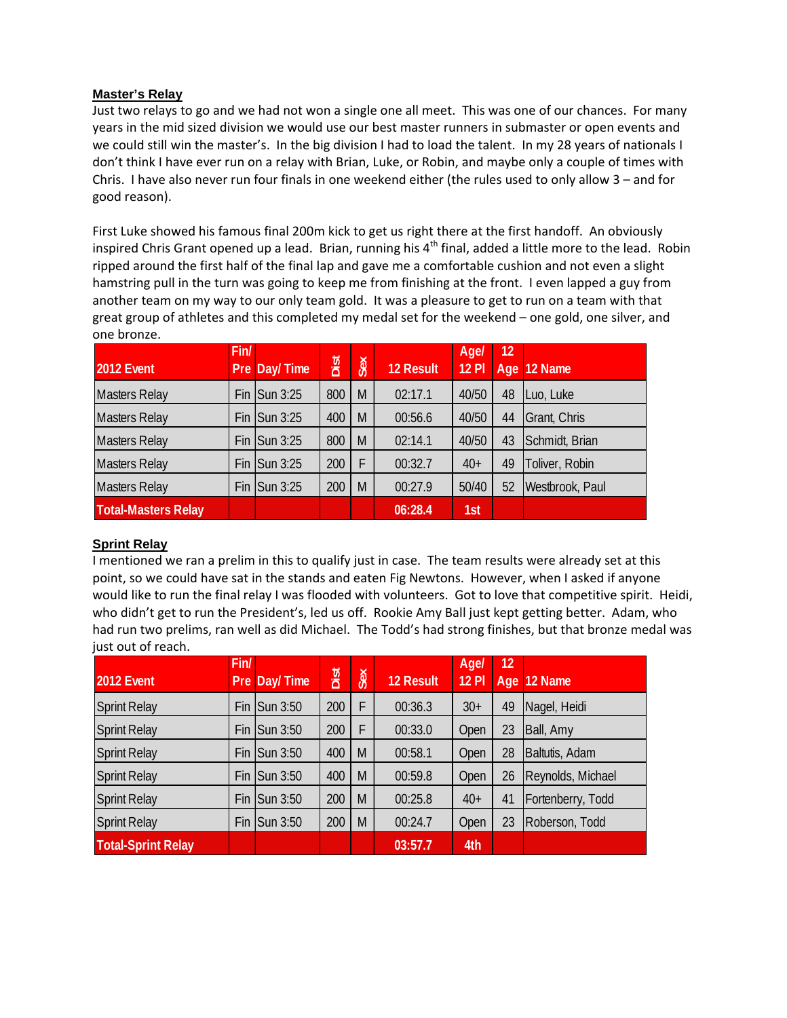#### **Master's Relay**

Just two relays to go and we had not won a single one all meet. This was one of our chances. For many years in the mid sized division we would use our best master runners in submaster or open events and we could still win the master's. In the big division I had to load the talent. In my 28 years of nationals I don't think I have ever run on a relay with Brian, Luke, or Robin, and maybe only a couple of times with Chris. I have also never run four finals in one weekend either (the rules used to only allow 3 – and for good reason).

First Luke showed his famous final 200m kick to get us right there at the first handoff. An obviously inspired Chris Grant opened up a lead. Brian, running his 4<sup>th</sup> final, added a little more to the lead. Robin ripped around the first half of the final lap and gave me a comfortable cushion and not even a slight hamstring pull in the turn was going to keep me from finishing at the front. I even lapped a guy from another team on my way to our only team gold. It was a pleasure to get to run on a team with that great group of athletes and this completed my medal set for the weekend – one gold, one silver, and one bronze.

| 2012 Event                 | Fin/ | Pre Day/Time             | Dist | Sex | <b>12 Result</b> | Age/<br>$12$ Pl | 12 | Age 12 Name     |
|----------------------------|------|--------------------------|------|-----|------------------|-----------------|----|-----------------|
| <b>Masters Relay</b>       |      | Fin $\textsf{Sum } 3:25$ | 800  | M   | 02:17.1          | 40/50           | 48 | Luo, Luke       |
| <b>Masters Relay</b>       | Fin  | <b>Sun 3:25</b>          | 400  | M   | 00:56.6          | 40/50           | 44 | Grant, Chris    |
| <b>Masters Relay</b>       |      | Fin $\textsf{Sun} 3:25$  | 800  | M   | 02:14.1          | 40/50           | 43 | Schmidt, Brian  |
| <b>Masters Relay</b>       |      | Fin $\textsf{Sun} 3:25$  | 200  | F   | 00:32.7          | $40+$           | 49 | Toliver, Robin  |
| <b>Masters Relay</b>       |      | Fin $\textsf{Sum } 3:25$ | 200  | M   | 00:27.9          | 50/40           | 52 | Westbrook, Paul |
| <b>Total-Masters Relay</b> |      |                          |      |     | 06:28.4          | 1st             |    |                 |

## **Sprint Relay**

I mentioned we ran a prelim in this to qualify just in case. The team results were already set at this point, so we could have sat in the stands and eaten Fig Newtons. However, when I asked if anyone would like to run the final relay I was flooded with volunteers. Got to love that competitive spirit. Heidi, who didn't get to run the President's, led us off. Rookie Amy Ball just kept getting better. Adam, who had run two prelims, ran well as did Michael. The Todd's had strong finishes, but that bronze medal was just out of reach.

| 2012 Event                | Fin/ | Pre Day/Time              | Dist | Sex | 12 Result | Agel<br><b>12 PI</b> | 12 | Age 12 Name       |
|---------------------------|------|---------------------------|------|-----|-----------|----------------------|----|-------------------|
| <b>Sprint Relay</b>       | Fin  | <b>Sun 3:50</b>           | 200  | F   | 00:36.3   | $30+$                | 49 | Nagel, Heidi      |
| <b>Sprint Relay</b>       | Fin  | <b>Sun 3:50</b>           | 200  | F   | 00:33.0   | Open                 | 23 | Ball, Amy         |
| <b>Sprint Relay</b>       |      | Fin $\textsf{I}$ Sun 3:50 | 400  | M   | 00:58.1   | Open                 | 28 | Baltutis, Adam    |
| <b>Sprint Relay</b>       | Fin  | Sun 3:50                  | 400  | M   | 00:59.8   | Open                 | 26 | Reynolds, Michael |
| <b>Sprint Relay</b>       | Fin  | Sun 3:50                  | 200  | M   | 00:25.8   | $40+$                | 41 | Fortenberry, Todd |
| <b>Sprint Relay</b>       |      | Fin $\textsf{I}$ Sun 3:50 | 200  | M   | 00:24.7   | Open                 | 23 | Roberson, Todd    |
| <b>Total-Sprint Relay</b> |      |                           |      |     | 03:57.7   | 4th                  |    |                   |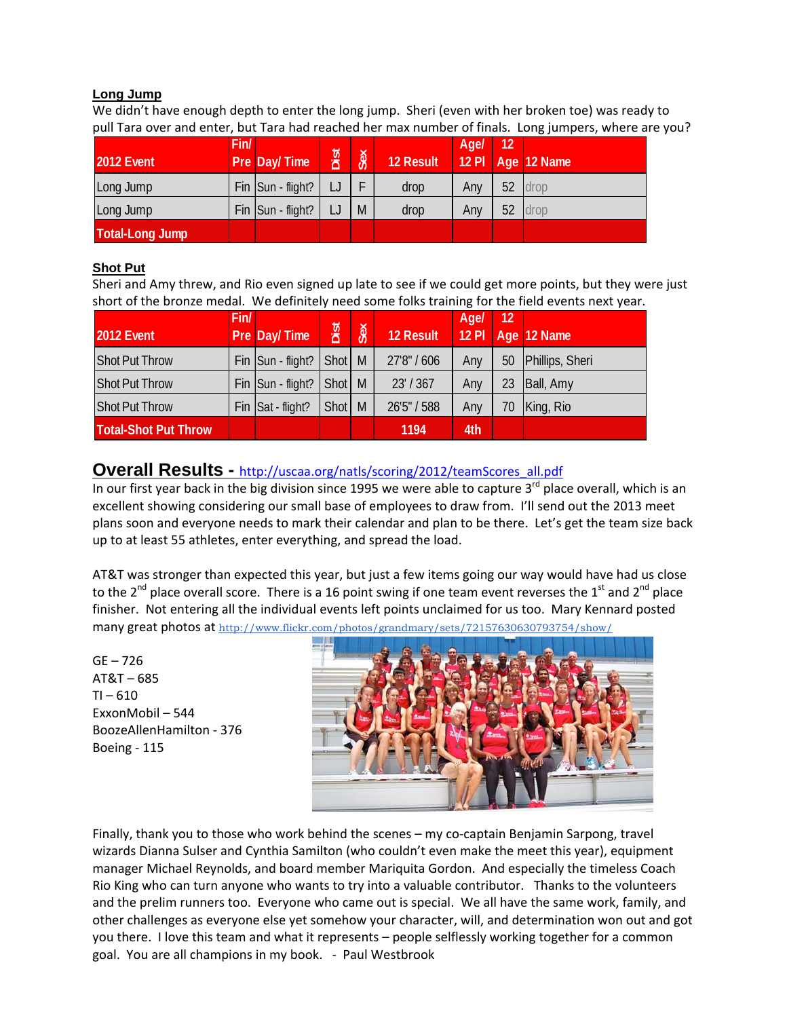## **Long Jump**

We didn't have enough depth to enter the long jump. Sheri (even with her broken toe) was ready to pull Tara over and enter, but Tara had reached her max number of finals. Long jumpers, where are you?

| <b>2012 Event</b>      | Fin/ | Pre Day/Time        | Dist | Sex | 12 Result | Age/ | $\overline{12}$ | 12 PI   Age   12 Name |
|------------------------|------|---------------------|------|-----|-----------|------|-----------------|-----------------------|
| Long Jump              |      | $Fin$ Sun - flight? |      |     | drop      | Any  |                 | 52 drop               |
| Long Jump              |      | Fin Sun - flight?   |      | M   | drop      | Any  | 52              | drop                  |
| <b>Total-Long Jump</b> |      |                     |      |     |           |      |                 |                       |

## **Shot Put**

Sheri and Amy threw, and Rio even signed up late to see if we could get more points, but they were just short of the bronze medal. We definitely need some folks training for the field events next year.

|                             | Fin/ |                   |          |     |             | Age/    | 12 |                 |
|-----------------------------|------|-------------------|----------|-----|-------------|---------|----|-----------------|
| <b>2012 Event</b>           |      | Pre Day/Time      | Dist     | Sex | 12 Result   | $12$ PI |    | Age 12 Name     |
| <b>Shot Put Throw</b>       |      | Fin Sun - flight? | Shot   M |     | 27'8" / 606 | Any     | 50 | Phillips, Sheri |
| <b>Shot Put Throw</b>       |      | Fin Sun - flight? | Shot   M |     | 23' / 367   | Any     | 23 | Ball, Amy       |
| <b>Shot Put Throw</b>       |      | Fin Sat - flight? | Shot     | M   | 26'5" / 588 | Any     | 70 | King, Rio       |
| <b>Total-Shot Put Throw</b> |      |                   |          |     | 1194        | 4th     |    |                 |

## **Overall Results -** http://uscaa.org/natls/scoring/2012/teamScores\_all.pdf

In our first year back in the big division since 1995 we were able to capture 3<sup>rd</sup> place overall, which is an excellent showing considering our small base of employees to draw from. I'll send out the 2013 meet plans soon and everyone needs to mark their calendar and plan to be there. Let's get the team size back up to at least 55 athletes, enter everything, and spread the load.

AT&T was stronger than expected this year, but just a few items going our way would have had us close to the 2<sup>nd</sup> place overall score. There is a 16 point swing if one team event reverses the 1<sup>st</sup> and 2<sup>nd</sup> place finisher. Not entering all the individual events left points unclaimed for us too. Mary Kennard posted many great photos at http://www.flickr.com/photos/grandmary/sets/72157630630793754/show/

GE – 726 AT&T – 685  $TI - 610$ ExxonMobil – 544 BoozeAllenHamilton ‐ 376 Boeing ‐ 115



Finally, thank you to those who work behind the scenes – my co-captain Benjamin Sarpong, travel wizards Dianna Sulser and Cynthia Samilton (who couldn't even make the meet this year), equipment manager Michael Reynolds, and board member Mariquita Gordon. And especially the timeless Coach Rio King who can turn anyone who wants to try into a valuable contributor. Thanks to the volunteers and the prelim runners too. Everyone who came out is special. We all have the same work, family, and other challenges as everyone else yet somehow your character, will, and determination won out and got you there. I love this team and what it represents – people selflessly working together for a common goal. You are all champions in my book. ‐ Paul Westbrook